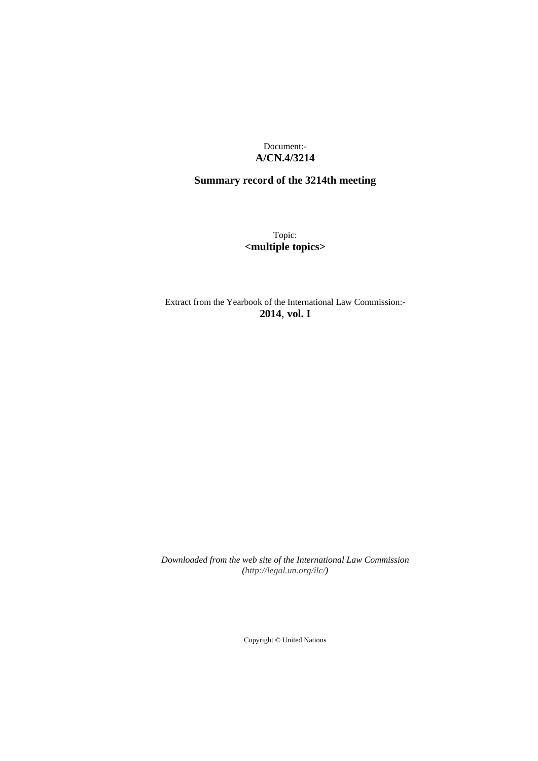Document:- **A/CN.4/3214**

# **Summary record of the 3214th meeting**

Topic: **<multiple topics>**

Extract from the Yearbook of the International Law Commission:- **2014**, **vol. I**

*Downloaded from the web site of the International Law Commission [\(http://legal.un.org/ilc/\)](http://legal.un.org/ilc/)*

Copyright © United Nations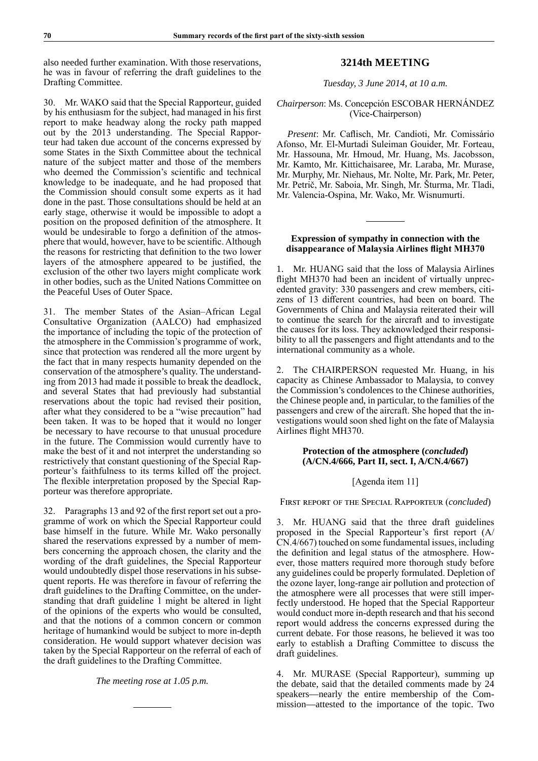also needed further examination. With those reservations, he was in favour of referring the draft guidelines to the Drafting Committee.

30. Mr. WAKO said that the Special Rapporteur, guided by his enthusiasm for the subject, had managed in his first report to make headway along the rocky path mapped out by the 2013 understanding. The Special Rapporteur had taken due account of the concerns expressed by some States in the Sixth Committee about the technical nature of the subject matter and those of the members who deemed the Commission's scientific and technical knowledge to be inadequate, and he had proposed that the Commission should consult some experts as it had done in the past. Those consultations should be held at an early stage, otherwise it would be impossible to adopt a position on the proposed definition of the atmosphere. It would be undesirable to forgo a definition of the atmosphere that would, however, have to be scientific. Although the reasons for restricting that definition to the two lower layers of the atmosphere appeared to be justified, the exclusion of the other two layers might complicate work in other bodies, such as the United Nations Committee on the Peaceful Uses of Outer Space.

31. The member States of the Asian–African Legal Consultative Organization (AALCO) had emphasized the importance of including the topic of the protection of the atmosphere in the Commission's programme of work, since that protection was rendered all the more urgent by the fact that in many respects humanity depended on the conservation of the atmosphere's quality. The understanding from 2013 had made it possible to break the deadlock, and several States that had previously had substantial reservations about the topic had revised their position, after what they considered to be a "wise precaution" had been taken. It was to be hoped that it would no longer be necessary to have recourse to that unusual procedure in the future. The Commission would currently have to make the best of it and not interpret the understanding so restrictively that constant questioning of the Special Rapporteur's faithfulness to its terms killed off the project. The flexible interpretation proposed by the Special Rapporteur was therefore appropriate.

32. Paragraphs 13 and 92 of the first report set out a programme of work on which the Special Rapporteur could base himself in the future. While Mr. Wako personally shared the reservations expressed by a number of members concerning the approach chosen, the clarity and the wording of the draft guidelines, the Special Rapporteur would undoubtedly dispel those reservations in his subsequent reports. He was therefore in favour of referring the draft guidelines to the Drafting Committee, on the understanding that draft guideline 1 might be altered in light of the opinions of the experts who would be consulted, and that the notions of a common concern or common heritage of humankind would be subject to more in-depth consideration. He would support whatever decision was taken by the Special Rapporteur on the referral of each of the draft guidelines to the Drafting Committee.

*The meeting rose at 1.05 p.m.*

## **3214th MEETING**

*Tuesday, 3 June 2014, at 10 a.m.*

## *Chairperson*: Ms. Concepción ESCOBAR HERNÁNDEZ (Vice-Chairperson)

*Present*: Mr. Caflisch, Mr. Candioti, Mr. Comissário Afonso, Mr. El-Murtadi Suleiman Gouider, Mr. Forteau, Mr. Hassouna, Mr. Hmoud, Mr. Huang, Ms. Jacobsson, Mr. Kamto, Mr. Kittichaisaree, Mr. Laraba, Mr. Murase, Mr. Murphy, Mr. Niehaus, Mr. Nolte, Mr. Park, Mr. Peter, Mr. Petrič, Mr. Saboia, Mr. Singh, Mr. Šturma, Mr. Tladi, Mr. Valencia-Ospina, Mr. Wako, Mr. Wisnumurti.

#### **Expression of sympathy in connection with the disappearance of Malaysia Airlines flight MH370**

1. Mr. HUANG said that the loss of Malaysia Airlines flight MH370 had been an incident of virtually unprecedented gravity: 330 passengers and crew members, citizens of 13 different countries, had been on board. The Governments of China and Malaysia reiterated their will to continue the search for the aircraft and to investigate the causes for its loss. They acknowledged their responsibility to all the passengers and flight attendants and to the international community as a whole.

2. The CHAIRPERSON requested Mr. Huang, in his capacity as Chinese Ambassador to Malaysia, to convey the Commission's condolences to the Chinese authorities, the Chinese people and, in particular, to the families of the passengers and crew of the aircraft. She hoped that the investigations would soon shed light on the fate of Malaysia Airlines flight MH370.

## **Protection of the atmosphere (***concluded***) (A/CN.4/666, Part II, sect. I, A/CN.4/667)**

#### [Agenda item 11]

First report of the Special Rapporteur (*concluded*)

3. Mr. HUANG said that the three draft guidelines proposed in the Special Rapporteur's first report (A/ CN.4/667) touched on some fundamental issues, including the definition and legal status of the atmosphere. However, those matters required more thorough study before any guidelines could be properly formulated. Depletion of the ozone layer, long-range air pollution and protection of the atmosphere were all processes that were still imperfectly understood. He hoped that the Special Rapporteur would conduct more in-depth research and that his second report would address the concerns expressed during the current debate. For those reasons, he believed it was too early to establish a Drafting Committee to discuss the draft guidelines.

4. Mr. MURASE (Special Rapporteur), summing up the debate, said that the detailed comments made by 24 speakers—nearly the entire membership of the Commission—attested to the importance of the topic. Two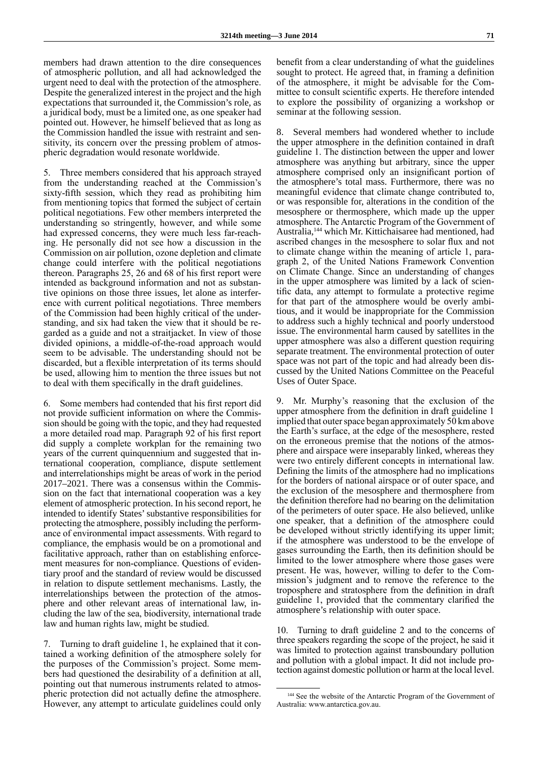members had drawn attention to the dire consequences of atmospheric pollution, and all had acknowledged the urgent need to deal with the protection of the atmosphere. Despite the generalized interest in the project and the high expectations that surrounded it, the Commission's role, as a juridical body, must be a limited one, as one speaker had pointed out. However, he himself believed that as long as the Commission handled the issue with restraint and sensitivity, its concern over the pressing problem of atmospheric degradation would resonate worldwide.

5. Three members considered that his approach strayed from the understanding reached at the Commission's sixty-fifth session, which they read as prohibiting him from mentioning topics that formed the subject of certain political negotiations. Few other members interpreted the understanding so stringently, however, and while some had expressed concerns, they were much less far-reaching. He personally did not see how a discussion in the Commission on air pollution, ozone depletion and climate change could interfere with the political negotiations thereon. Paragraphs 25, 26 and 68 of his first report were intended as background information and not as substantive opinions on those three issues, let alone as interference with current political negotiations. Three members of the Commission had been highly critical of the understanding, and six had taken the view that it should be regarded as a guide and not a straitjacket. In view of those divided opinions, a middle-of-the-road approach would seem to be advisable. The understanding should not be discarded, but a flexible interpretation of its terms should be used, allowing him to mention the three issues but not to deal with them specifically in the draft guidelines.

6. Some members had contended that his first report did not provide sufficient information on where the Commission should be going with the topic, and they had requested a more detailed road map. Paragraph 92 of his first report did supply a complete workplan for the remaining two years of the current quinquennium and suggested that international cooperation, compliance, dispute settlement and interrelationships might be areas of work in the period 2017–2021. There was a consensus within the Commission on the fact that international cooperation was a key element of atmospheric protection. In his second report, he intended to identify States' substantive responsibilities for protecting the atmosphere, possibly including the performance of environmental impact assessments. With regard to compliance, the emphasis would be on a promotional and facilitative approach, rather than on establishing enforcement measures for non-compliance. Questions of evidentiary proof and the standard of review would be discussed in relation to dispute settlement mechanisms. Lastly, the interrelationships between the protection of the atmosphere and other relevant areas of international law, including the law of the sea, biodiversity, international trade law and human rights law, might be studied.

7. Turning to draft guideline 1, he explained that it contained a working definition of the atmosphere solely for the purposes of the Commission's project. Some members had questioned the desirability of a definition at all, pointing out that numerous instruments related to atmospheric protection did not actually define the atmosphere. However, any attempt to articulate guidelines could only benefit from a clear understanding of what the guidelines sought to protect. He agreed that, in framing a definition of the atmosphere, it might be advisable for the Committee to consult scientific experts. He therefore intended to explore the possibility of organizing a workshop or seminar at the following session.

8. Several members had wondered whether to include the upper atmosphere in the definition contained in draft guideline 1. The distinction between the upper and lower atmosphere was anything but arbitrary, since the upper atmosphere comprised only an insignificant portion of the atmosphere's total mass. Furthermore, there was no meaningful evidence that climate change contributed to, or was responsible for, alterations in the condition of the mesosphere or thermosphere, which made up the upper atmosphere. The Antarctic Program of the Government of Australia,144 which Mr. Kittichaisaree had mentioned, had ascribed changes in the mesosphere to solar flux and not to climate change within the meaning of article 1, paragraph 2, of the United Nations Framework Convention on Climate Change. Since an understanding of changes in the upper atmosphere was limited by a lack of scientific data, any attempt to formulate a protective regime for that part of the atmosphere would be overly ambitious, and it would be inappropriate for the Commission to address such a highly technical and poorly understood issue. The environmental harm caused by satellites in the upper atmosphere was also a different question requiring separate treatment. The environmental protection of outer space was not part of the topic and had already been discussed by the United Nations Committee on the Peaceful Uses of Outer Space.

9. Mr. Murphy's reasoning that the exclusion of the upper atmosphere from the definition in draft guideline 1 implied that outer space began approximately 50 km above the Earth's surface, at the edge of the mesosphere, rested on the erroneous premise that the notions of the atmosphere and airspace were inseparably linked, whereas they were two entirely different concepts in international law. Defining the limits of the atmosphere had no implications for the borders of national airspace or of outer space, and the exclusion of the mesosphere and thermosphere from the definition therefore had no bearing on the delimitation of the perimeters of outer space. He also believed, unlike one speaker, that a definition of the atmosphere could be developed without strictly identifying its upper limit; if the atmosphere was understood to be the envelope of gases surrounding the Earth, then its definition should be limited to the lower atmosphere where those gases were present. He was, however, willing to defer to the Commission's judgment and to remove the reference to the troposphere and stratosphere from the definition in draft guideline 1, provided that the commentary clarified the atmosphere's relationship with outer space.

10. Turning to draft guideline 2 and to the concerns of three speakers regarding the scope of the project, he said it was limited to protection against transboundary pollution and pollution with a global impact. It did not include protection against domestic pollution or harm at the local level.

<sup>144</sup> See the website of the Antarctic Program of the Government of Australia: [www.antarctica.gov.au](http://www.antarctica.gov.au).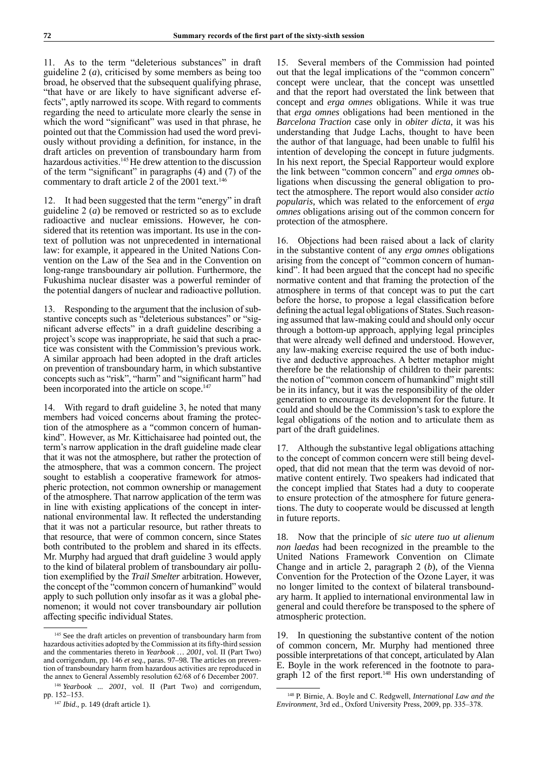11. As to the term "deleterious substances" in draft guideline 2 (*a*), criticised by some members as being too broad, he observed that the subsequent qualifying phrase, "that have or are likely to have significant adverse effects", aptly narrowed its scope. With regard to comments regarding the need to articulate more clearly the sense in which the word "significant" was used in that phrase, he pointed out that the Commission had used the word previously without providing a definition, for instance, in the draft articles on prevention of transboundary harm from hazardous activities.<sup>145</sup> He drew attention to the discussion of the term "significant" in paragraphs (4) and (7) of the commentary to draft article 2 of the 2001 text.<sup>146</sup>

12. It had been suggested that the term "energy" in draft guideline 2 (*a*) be removed or restricted so as to exclude radioactive and nuclear emissions. However, he considered that its retention was important. Its use in the context of pollution was not unprecedented in international law: for example, it appeared in the United Nations Convention on the Law of the Sea and in the Convention on long-range transboundary air pollution. Furthermore, the Fukushima nuclear disaster was a powerful reminder of the potential dangers of nuclear and radioactive pollution.

13. Responding to the argument that the inclusion of substantive concepts such as "deleterious substances" or "significant adverse effects" in a draft guideline describing a project's scope was inappropriate, he said that such a practice was consistent with the Commission's previous work. A similar approach had been adopted in the draft articles on prevention of transboundary harm, in which substantive concepts such as "risk", "harm" and "significant harm" had been incorporated into the article on scope.<sup>147</sup>

14. With regard to draft guideline 3, he noted that many members had voiced concerns about framing the protection of the atmosphere as a "common concern of humankind". However, as Mr. Kittichaisaree had pointed out, the term's narrow application in the draft guideline made clear that it was not the atmosphere, but rather the protection of the atmosphere, that was a common concern. The project sought to establish a cooperative framework for atmospheric protection, not common ownership or management of the atmosphere. That narrow application of the term was in line with existing applications of the concept in international environmental law. It reflected the understanding that it was not a particular resource, but rather threats to that resource, that were of common concern, since States both contributed to the problem and shared in its effects. Mr. Murphy had argued that draft guideline 3 would apply to the kind of bilateral problem of transboundary air pollution exemplified by the *Trail Smelter* arbitration. However, the concept of the "common concern of humankind" would apply to such pollution only insofar as it was a global phenomenon; it would not cover transboundary air pollution affecting specific individual States.

15. Several members of the Commission had pointed out that the legal implications of the "common concern" concept were unclear, that the concept was unsettled and that the report had overstated the link between that concept and *erga omnes* obligations. While it was true that *erga omnes* obligations had been mentioned in the *Barcelona Traction* case only in *obiter dicta*, it was his understanding that Judge Lachs, thought to have been the author of that language, had been unable to fulfil his intention of developing the concept in future judgments. In his next report, the Special Rapporteur would explore the link between "common concern" and *erga omnes* obligations when discussing the general obligation to protect the atmosphere. The report would also consider *actio popularis*, which was related to the enforcement of *erga omnes* obligations arising out of the common concern for protection of the atmosphere.

16. Objections had been raised about a lack of clarity in the substantive content of any *erga omnes* obligations arising from the concept of "common concern of humankind". It had been argued that the concept had no specific normative content and that framing the protection of the atmosphere in terms of that concept was to put the cart before the horse, to propose a legal classification before defining the actual legal obligations of States. Such reasoning assumed that law-making could and should only occur through a bottom-up approach, applying legal principles that were already well defined and understood. However, any law-making exercise required the use of both inductive and deductive approaches. A better metaphor might therefore be the relationship of children to their parents: the notion of "common concern of humankind" might still be in its infancy, but it was the responsibility of the older generation to encourage its development for the future. It could and should be the Commission's task to explore the legal obligations of the notion and to articulate them as part of the draft guidelines.

17. Although the substantive legal obligations attaching to the concept of common concern were still being developed, that did not mean that the term was devoid of normative content entirely. Two speakers had indicated that the concept implied that States had a duty to cooperate to ensure protection of the atmosphere for future generations. The duty to cooperate would be discussed at length in future reports.

18. Now that the principle of *sic utere tuo ut alienum non laedas* had been recognized in the preamble to the United Nations Framework Convention on Climate Change and in article 2, paragraph 2 (*b*), of the Vienna Convention for the Protection of the Ozone Layer, it was no longer limited to the context of bilateral transboundary harm. It applied to international environmental law in general and could therefore be transposed to the sphere of atmospheric protection.

19. In questioning the substantive content of the notion of common concern, Mr. Murphy had mentioned three possible interpretations of that concept, articulated by Alan E. Boyle in the work referenced in the footnote to paragraph 12 of the first report.<sup>148</sup> His own understanding of

<sup>&</sup>lt;sup>145</sup> See the draft articles on prevention of transboundary harm from hazardous activities adopted by the Commission at its fifty-third session and the commentaries thereto in *Yearbook … 2001*, vol. II (Part Two) and corrigendum, pp. 146 *et seq*., paras. 97–98. The articles on prevention of transboundary harm from hazardous activities are reproduced in the annex to General Assembly resolution 62/68 of 6 December 2007.

<sup>146</sup> *Yearbook ... 2001*, vol. II (Part Two) and corrigendum, pp. 152–153.

<sup>147</sup> *Ibid*., p. 149 (draft article 1).

<sup>148</sup> P. Birnie, A. Boyle and C. Redgwell, *International Law and the Environment*, 3rd ed., Oxford University Press, 2009, pp. 335–378.